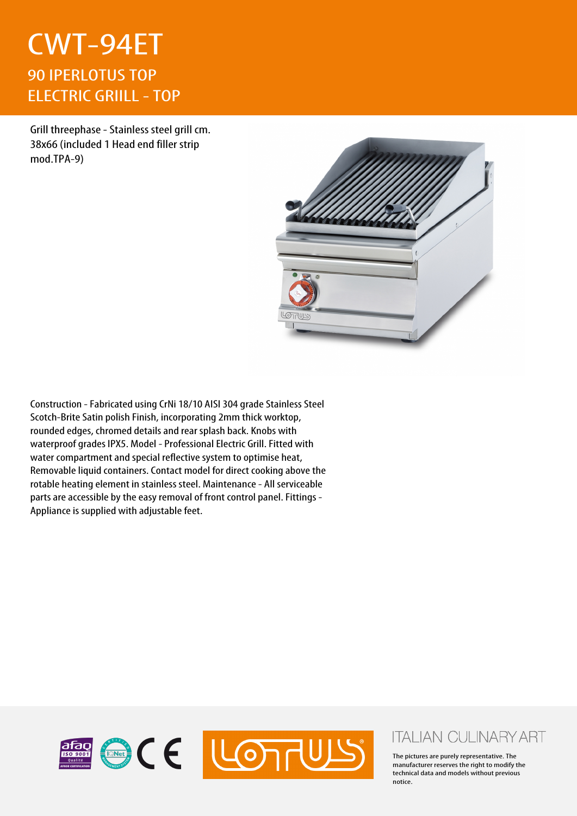## CWT-94ET 90 IPERLOTUS TOP ELECTRIC GRIILL - TOP

Grill threephase - Stainless steel grill cm. 38x66 (included 1 Head end filler strip mod.TPA-9)



Construction - Fabricated using CrNi 18/10 AISI 304 grade Stainless Steel Scotch-Brite Satin polish Finish, incorporating 2mm thick worktop, rounded edges, chromed details and rear splash back. Knobs with waterproof grades IPX5. Model - Professional Electric Grill. Fitted with water compartment and special reflective system to optimise heat, Removable liquid containers. Contact model for direct cooking above the rotable heating element in stainless steel. Maintenance - All serviceable parts are accessible by the easy removal of front control panel. Fittings - Appliance is supplied with adjustable feet.



## **ITALIAN CULINARY ART**

The pictures are purely representative. The manufacturer reserves the right to modify the technical data and models without previous notice.